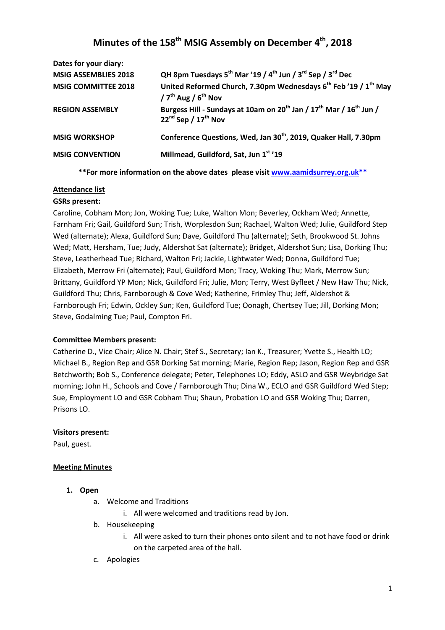# **Minutes of the 158th MSIG Assembly on December 4th, 2018**

| Dates for your diary:       |                                                                                                                                         |
|-----------------------------|-----------------------------------------------------------------------------------------------------------------------------------------|
| <b>MSIG ASSEMBLIES 2018</b> | QH 8pm Tuesdays 5th Mar '19 / 4th Jun / 3rd Sep / 3rd Dec                                                                               |
| <b>MSIG COMMITTEE 2018</b>  | United Reformed Church, 7.30pm Wednesdays 6 <sup>th</sup> Feb '19 / 1 <sup>th</sup> May<br>$/7^{th}$ Aug $/6^{th}$ Nov                  |
| <b>REGION ASSEMBLY</b>      | Burgess Hill - Sundays at 10am on 20 <sup>th</sup> Jan / 17 <sup>th</sup> Mar / 16 <sup>th</sup> Jun /<br>$22^{nd}$ Sep / $17^{th}$ Nov |
| <b>MSIG WORKSHOP</b>        | Conference Questions, Wed, Jan 30 <sup>th</sup> , 2019, Quaker Hall, 7.30pm                                                             |
| <b>MSIG CONVENTION</b>      | Millmead, Guildford, Sat, Jun 1st '19                                                                                                   |

**\*\*For more information on the above dates please visit www.aamidsurrey.org.uk\*\***

#### **Attendance list**

#### **GSRs present:**

Caroline, Cobham Mon; Jon, Woking Tue; Luke, Walton Mon; Beverley, Ockham Wed; Annette, Farnham Fri; Gail, Guildford Sun; Trish, Worplesdon Sun; Rachael, Walton Wed; Julie, Guildford Step Wed (alternate); Alexa, Guildford Sun; Dave, Guildford Thu (alternate); Seth, Brookwood St. Johns Wed; Matt, Hersham, Tue; Judy, Aldershot Sat (alternate); Bridget, Aldershot Sun; Lisa, Dorking Thu; Steve, Leatherhead Tue; Richard, Walton Fri; Jackie, Lightwater Wed; Donna, Guildford Tue; Elizabeth, Merrow Fri (alternate); Paul, Guildford Mon; Tracy, Woking Thu; Mark, Merrow Sun; Brittany, Guildford YP Mon; Nick, Guildford Fri; Julie, Mon; Terry, West Byfleet / New Haw Thu; Nick, Guildford Thu; Chris, Farnborough & Cove Wed; Katherine, Frimley Thu; Jeff, Aldershot & Farnborough Fri; Edwin, Ockley Sun; Ken, Guildford Tue; Oonagh, Chertsey Tue; Jill, Dorking Mon; Steve, Godalming Tue; Paul, Compton Fri.

#### **Committee Members present:**

Catherine D., Vice Chair; Alice N. Chair; Stef S., Secretary; Ian K., Treasurer; Yvette S., Health LO; Michael B., Region Rep and GSR Dorking Sat morning; Marie, Region Rep; Jason, Region Rep and GSR Betchworth; Bob S., Conference delegate; Peter, Telephones LO; Eddy, ASLO and GSR Weybridge Sat morning; John H., Schools and Cove / Farnborough Thu; Dina W., ECLO and GSR Guildford Wed Step; Sue, Employment LO and GSR Cobham Thu; Shaun, Probation LO and GSR Woking Thu; Darren, Prisons LO.

#### **Visitors present:**

Paul, guest.

#### **Meeting Minutes**

- **1. Open** 
	- a. Welcome and Traditions
		- i. All were welcomed and traditions read by Jon.
	- b. Housekeeping
		- i. All were asked to turn their phones onto silent and to not have food or drink on the carpeted area of the hall.
	- c. Apologies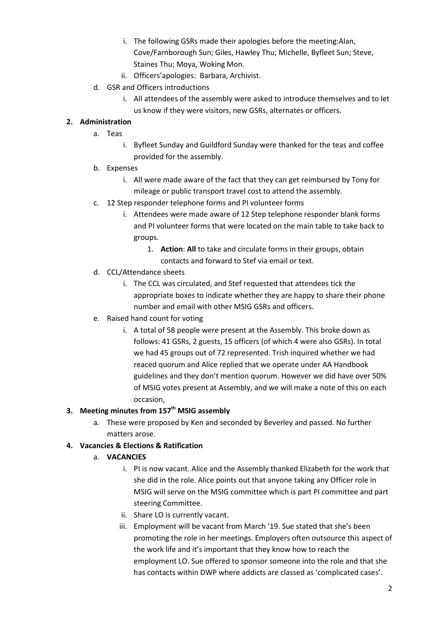- i. The following GSRs made their apologies before the meeting:Alan, Cove/Farnborough Sun; Giles, Hawley Thu; Michelle, Byfleet Sun; Steve, Staines Thu; Moya, Woking Mon.
- ii. Officers'apologies: Barbara, Archivist.
- d. GSR and Officers introductions
	- i. All attendees of the assembly were asked to introduce themselves and to let us know if they were visitors, new GSRs, alternates or officers.

### **2. Administration**

- a. Teas
	- i. Byfleet Sunday and Guildford Sunday were thanked for the teas and coffee provided for the assembly.
- b. Expenses
	- i. All were made aware of the fact that they can get reimbursed by Tony for mileage or public transport travel cost to attend the assembly.
- c. 12 Step responder telephone forms and PI volunteer forms
	- i. Attendees were made aware of 12 Step telephone responder blank forms and PI volunteer forms that were located on the main table to take back to groups.
		- 1. **Action**: **All** to take and circulate forms in their groups, obtain contacts and forward to Stef via email or text.
- d. CCL/Attendance sheets
	- i. The CCL was circulated, and Stef requested that attendees tick the appropriate boxes to indicate whether they are happy to share their phone number and email with other MSIG GSRs and officers.
- e. Raised hand count for voting
	- i. A total of 58 people were present at the Assembly. This broke down as follows: 41 GSRs, 2 guests, 15 officers (of which 4 were also GSRs). In total we had 45 groups out of 72 represented. Trish inquired whether we had reaced quorum and Alice replied that we operate under AA Handbook guidelines and they don't mention quorum. However we did have over 50% of MSIG votes present at Assembly, and we will make a note of this on each occasion,

### **3. Meeting minutes from 157th MSIG assembly**

a. These were proposed by Ken and seconded by Beverley and passed. No further matters arose.

## **4. Vacancies & Elections & Ratification**

- a. **VACANCIES** 
	- i. PI is now vacant. Alice and the Assembly thanked Elizabeth for the work that she did in the role. Alice points out that anyone taking any Officer role in MSIG will serve on the MSIG committee which is part PI committee and part steering Committee.
	- ii. Share LO is currently vacant.
	- iii. Employment will be vacant from March '19. Sue stated that she's been promoting the role in her meetings. Employers often outsource this aspect of the work life and it's important that they know how to reach the employment LO. Sue offered to sponsor someone into the role and that she has contacts within DWP where addicts are classed as 'complicated cases'.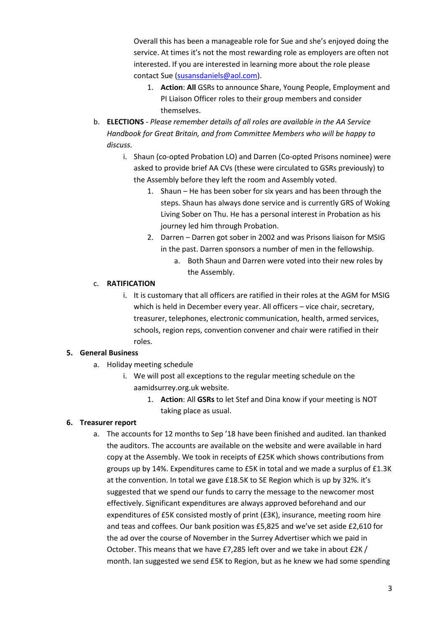Overall this has been a manageable role for Sue and she's enjoyed doing the service. At times it's not the most rewarding role as employers are often not interested. If you are interested in learning more about the role please contact Sue (susansdaniels@aol.com).

- 1. **Action**: **All** GSRs to announce Share, Young People, Employment and PI Liaison Officer roles to their group members and consider themselves.
- b. **ELECTIONS** *Please remember details of all roles are available in the AA Service Handbook for Great Britain, and from Committee Members who will be happy to discuss.* 
	- i. Shaun (co-opted Probation LO) and Darren (Co-opted Prisons nominee) were asked to provide brief AA CVs (these were circulated to GSRs previously) to the Assembly before they left the room and Assembly voted.
		- 1. Shaun He has been sober for six years and has been through the steps. Shaun has always done service and is currently GRS of Woking Living Sober on Thu. He has a personal interest in Probation as his journey led him through Probation.
		- 2. Darren Darren got sober in 2002 and was Prisons liaison for MSIG in the past. Darren sponsors a number of men in the fellowship.
			- a. Both Shaun and Darren were voted into their new roles by the Assembly.

## c. **RATIFICATION**

i. It is customary that all officers are ratified in their roles at the AGM for MSIG which is held in December every year. All officers - vice chair, secretary, treasurer, telephones, electronic communication, health, armed services, schools, region reps, convention convener and chair were ratified in their roles.

## **5. General Business**

- a. Holiday meeting schedule
	- i. We will post all exceptions to the regular meeting schedule on the aamidsurrey.org.uk website.
		- 1. **Action**: All **GSRs** to let Stef and Dina know if your meeting is NOT taking place as usual.

## **6. Treasurer report**

a. The accounts for 12 months to Sep '18 have been finished and audited. Ian thanked the auditors. The accounts are available on the website and were available in hard copy at the Assembly. We took in receipts of £25K which shows contributions from groups up by 14%. Expenditures came to £5K in total and we made a surplus of £1.3K at the convention. In total we gave £18.5K to SE Region which is up by 32%. it's suggested that we spend our funds to carry the message to the newcomer most effectively. Significant expenditures are always approved beforehand and our expenditures of £5K consisted mostly of print (£3K), insurance, meeting room hire and teas and coffees. Our bank position was £5,825 and we've set aside £2,610 for the ad over the course of November in the Surrey Advertiser which we paid in October. This means that we have £7,285 left over and we take in about £2K / month. Ian suggested we send £5K to Region, but as he knew we had some spending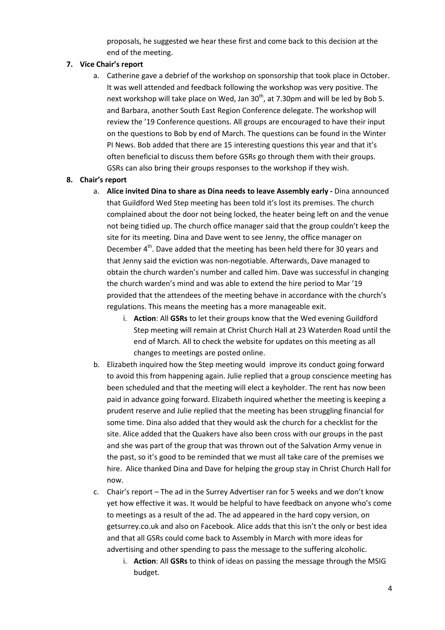proposals, he suggested we hear these first and come back to this decision at the end of the meeting.

### **7. Vice Chair's report**

a. Catherine gave a debrief of the workshop on sponsorship that took place in October. It was well attended and feedback following the workshop was very positive. The next workshop will take place on Wed, Jan  $30<sup>th</sup>$ , at 7.30pm and will be led by Bob S. and Barbara, another South East Region Conference delegate. The workshop will review the '19 Conference questions. All groups are encouraged to have their input on the questions to Bob by end of March. The questions can be found in the Winter PI News. Bob added that there are 15 interesting questions this year and that it's often beneficial to discuss them before GSRs go through them with their groups. GSRs can also bring their groups responses to the workshop if they wish.

#### **8. Chair's report**

- a. **Alice invited Dina to share as Dina needs to leave Assembly early** Dina announced that Guildford Wed Step meeting has been told it's lost its premises. The church complained about the door not being locked, the heater being left on and the venue not being tidied up. The church office manager said that the group couldn't keep the site for its meeting. Dina and Dave went to see Jenny, the office manager on December 4<sup>th</sup>. Dave added that the meeting has been held there for 30 years and that Jenny said the eviction was non-negotiable. Afterwards, Dave managed to obtain the church warden's number and called him. Dave was successful in changing the church warden's mind and was able to extend the hire period to Mar '19 provided that the attendees of the meeting behave in accordance with the church's regulations. This means the meeting has a more manageable exit.
	- i. **Action**: All **GSRs** to let their groups know that the Wed evening Guildford Step meeting will remain at Christ Church Hall at 23 Waterden Road until the end of March. All to check the website for updates on this meeting as all changes to meetings are posted online.
- b. Elizabeth inquired how the Step meeting would improve its conduct going forward to avoid this from happening again. Julie replied that a group conscience meeting has been scheduled and that the meeting will elect a keyholder. The rent has now been paid in advance going forward. Elizabeth inquired whether the meeting is keeping a prudent reserve and Julie replied that the meeting has been struggling financial for some time. Dina also added that they would ask the church for a checklist for the site. Alice added that the Quakers have also been cross with our groups in the past and she was part of the group that was thrown out of the Salvation Army venue in the past, so it's good to be reminded that we must all take care of the premises we hire. Alice thanked Dina and Dave for helping the group stay in Christ Church Hall for now.
- c. Chair's report The ad in the Surrey Advertiser ran for 5 weeks and we don't know yet how effective it was. It would be helpful to have feedback on anyone who's come to meetings as a result of the ad. The ad appeared in the hard copy version, on getsurrey.co.uk and also on Facebook. Alice adds that this isn't the only or best idea and that all GSRs could come back to Assembly in March with more ideas for advertising and other spending to pass the message to the suffering alcoholic.
	- i. **Action**: All **GSRs** to think of ideas on passing the message through the MSIG budget.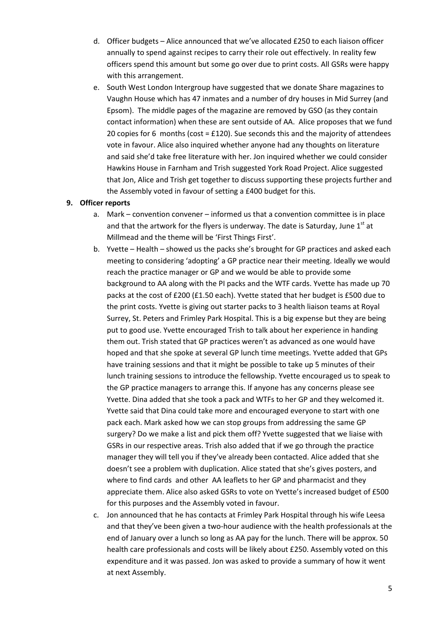- d. Officer budgets Alice announced that we've allocated £250 to each liaison officer annually to spend against recipes to carry their role out effectively. In reality few officers spend this amount but some go over due to print costs. All GSRs were happy with this arrangement.
- e. South West London Intergroup have suggested that we donate Share magazines to Vaughn House which has 47 inmates and a number of dry houses in Mid Surrey (and Epsom). The middle pages of the magazine are removed by GSO (as they contain contact information) when these are sent outside of AA. Alice proposes that we fund 20 copies for 6 months (cost =  $£120$ ). Sue seconds this and the majority of attendees vote in favour. Alice also inquired whether anyone had any thoughts on literature and said she'd take free literature with her. Jon inquired whether we could consider Hawkins House in Farnham and Trish suggested York Road Project. Alice suggested that Jon, Alice and Trish get together to discuss supporting these projects further and the Assembly voted in favour of setting a £400 budget for this.

#### **9. Officer reports**

- a. Mark convention convener informed us that a convention committee is in place and that the artwork for the flyers is underway. The date is Saturday, June  $1<sup>st</sup>$  at Millmead and the theme will be 'First Things First'.
- b. Yvette Health showed us the packs she's brought for GP practices and asked each meeting to considering 'adopting' a GP practice near their meeting. Ideally we would reach the practice manager or GP and we would be able to provide some background to AA along with the PI packs and the WTF cards. Yvette has made up 70 packs at the cost of £200 (£1.50 each). Yvette stated that her budget is £500 due to the print costs. Yvette is giving out starter packs to 3 health liaison teams at Royal Surrey, St. Peters and Frimley Park Hospital. This is a big expense but they are being put to good use. Yvette encouraged Trish to talk about her experience in handing them out. Trish stated that GP practices weren't as advanced as one would have hoped and that she spoke at several GP lunch time meetings. Yvette added that GPs have training sessions and that it might be possible to take up 5 minutes of their lunch training sessions to introduce the fellowship. Yvette encouraged us to speak to the GP practice managers to arrange this. If anyone has any concerns please see Yvette. Dina added that she took a pack and WTFs to her GP and they welcomed it. Yvette said that Dina could take more and encouraged everyone to start with one pack each. Mark asked how we can stop groups from addressing the same GP surgery? Do we make a list and pick them off? Yvette suggested that we liaise with GSRs in our respective areas. Trish also added that if we go through the practice manager they will tell you if they've already been contacted. Alice added that she doesn't see a problem with duplication. Alice stated that she's gives posters, and where to find cards and other AA leaflets to her GP and pharmacist and they appreciate them. Alice also asked GSRs to vote on Yvette's increased budget of £500 for this purposes and the Assembly voted in favour.
- c. Jon announced that he has contacts at Frimley Park Hospital through his wife Leesa and that they've been given a two-hour audience with the health professionals at the end of January over a lunch so long as AA pay for the lunch. There will be approx. 50 health care professionals and costs will be likely about £250. Assembly voted on this expenditure and it was passed. Jon was asked to provide a summary of how it went at next Assembly.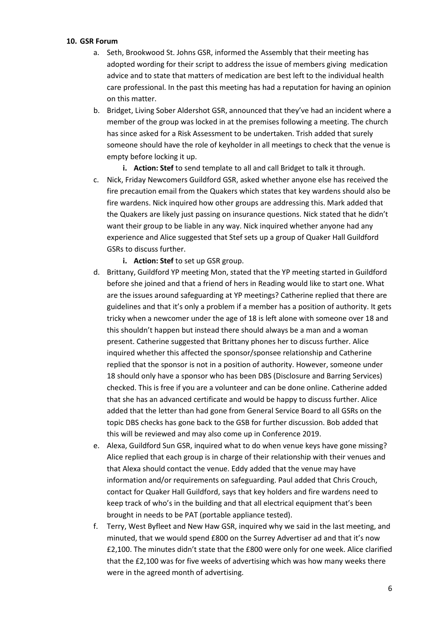#### **10. GSR Forum**

- a. Seth, Brookwood St. Johns GSR, informed the Assembly that their meeting has adopted wording for their script to address the issue of members giving medication advice and to state that matters of medication are best left to the individual health care professional. In the past this meeting has had a reputation for having an opinion on this matter.
- b. Bridget, Living Sober Aldershot GSR, announced that they've had an incident where a member of the group was locked in at the premises following a meeting. The church has since asked for a Risk Assessment to be undertaken. Trish added that surely someone should have the role of keyholder in all meetings to check that the venue is empty before locking it up.

**i. Action: Stef** to send template to all and call Bridget to talk it through.

c. Nick, Friday Newcomers Guildford GSR, asked whether anyone else has received the fire precaution email from the Quakers which states that key wardens should also be fire wardens. Nick inquired how other groups are addressing this. Mark added that the Quakers are likely just passing on insurance questions. Nick stated that he didn't want their group to be liable in any way. Nick inquired whether anyone had any experience and Alice suggested that Stef sets up a group of Quaker Hall Guildford GSRs to discuss further.

**i. Action: Stef** to set up GSR group.

- d. Brittany, Guildford YP meeting Mon, stated that the YP meeting started in Guildford before she joined and that a friend of hers in Reading would like to start one. What are the issues around safeguarding at YP meetings? Catherine replied that there are guidelines and that it's only a problem if a member has a position of authority. It gets tricky when a newcomer under the age of 18 is left alone with someone over 18 and this shouldn't happen but instead there should always be a man and a woman present. Catherine suggested that Brittany phones her to discuss further. Alice inquired whether this affected the sponsor/sponsee relationship and Catherine replied that the sponsor is not in a position of authority. However, someone under 18 should only have a sponsor who has been DBS (Disclosure and Barring Services) checked. This is free if you are a volunteer and can be done online. Catherine added that she has an advanced certificate and would be happy to discuss further. Alice added that the letter than had gone from General Service Board to all GSRs on the topic DBS checks has gone back to the GSB for further discussion. Bob added that this will be reviewed and may also come up in Conference 2019.
- e. Alexa, Guildford Sun GSR, inquired what to do when venue keys have gone missing? Alice replied that each group is in charge of their relationship with their venues and that Alexa should contact the venue. Eddy added that the venue may have information and/or requirements on safeguarding. Paul added that Chris Crouch, contact for Quaker Hall Guildford, says that key holders and fire wardens need to keep track of who's in the building and that all electrical equipment that's been brought in needs to be PAT (portable appliance tested).
- f. Terry, West Byfleet and New Haw GSR, inquired why we said in the last meeting, and minuted, that we would spend £800 on the Surrey Advertiser ad and that it's now £2,100. The minutes didn't state that the £800 were only for one week. Alice clarified that the £2,100 was for five weeks of advertising which was how many weeks there were in the agreed month of advertising.